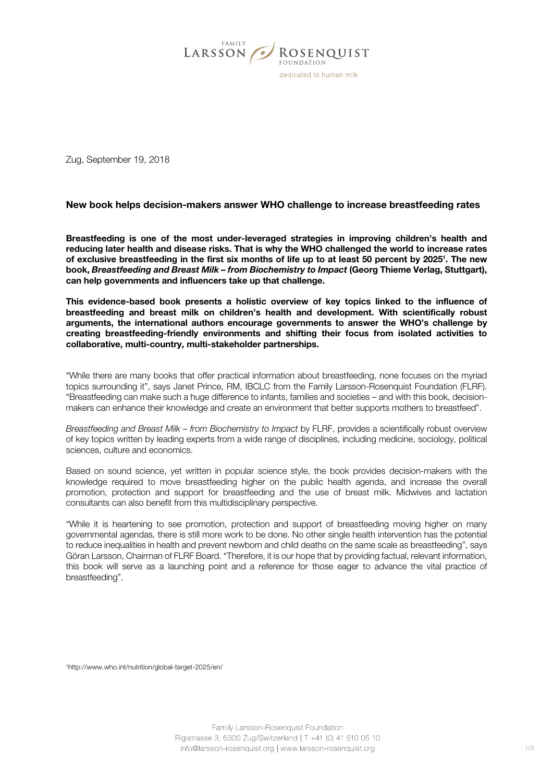

Zug, September 19, 2018

# New book helps decision-makers answer WHO challenge to increase breastfeeding rates

Breastfeeding is one of the most under-leveraged strategies in improving children's health and reducing later health and disease risks. That is why the WHO challenged the world to increase rates of exclusive breastfeeding in the first six months of life up to at least 50 percent by 2025'. The new book, *Breastfeeding and Breast Milk – from Biochemistry to Impact* (Georg Thieme Verlag, Stuttgart), can help governments and influencers take up that challenge.

This evidence-based book presents a holistic overview of key topics linked to the influence of breastfeeding and breast milk on children's health and development. With scientifically robust arguments, the international authors encourage governments to answer the WHO's challenge by creating breastfeeding-friendly environments and shifting their focus from isolated activities to collaborative, multi-country, multi-stakeholder partnerships.

"While there are many books that offer practical information about breastfeeding, none focuses on the myriad topics surrounding it", says Janet Prince, RM, IBCLC from the Family Larsson-Rosenquist Foundation (FLRF). "Breastfeeding can make such a huge difference to infants, families and societies – and with this book, decisionmakers can enhance their knowledge and create an environment that better supports mothers to breastfeed".

*Breastfeeding and Breast Milk – from Biochemistry to Impact* by FLRF, provides a scientifically robust overview of key topics written by leading experts from a wide range of disciplines, including medicine, sociology, political sciences, culture and economics.

Based on sound science, yet written in popular science style, the book provides decision-makers with the knowledge required to move breastfeeding higher on the public health agenda, and increase the overall promotion, protection and support for breastfeeding and the use of breast milk. Midwives and lactation consultants can also benefit from this multidisciplinary perspective.

"While it is heartening to see promotion, protection and support of breastfeeding moving higher on many governmental agendas, there is still more work to be done. No other single health intervention has the potential to reduce inequalities in health and prevent newborn and child deaths on the same scale as breastfeeding", says Göran Larsson, Chairman of FLRF Board. "Therefore, it is our hope that by providing factual, relevant information, this book will serve as a launching point and a reference for those eager to advance the vital practice of breastfeeding".

1http://www.who.int/nutrition/global-target-2025/en/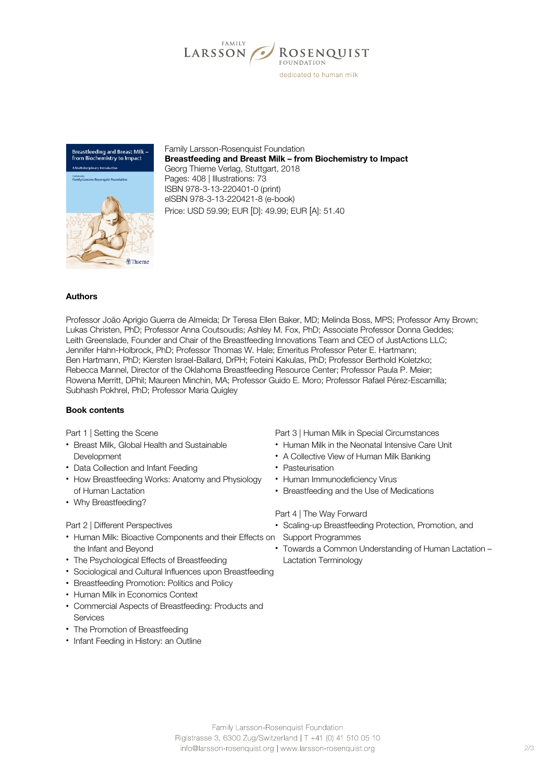



Family Larsson-Rosenquist Foundation Breastfeeding and Breast Milk – from Biochemistry to Impact Georg Thieme Verlag, Stuttgart, 2018 Pages: 408 | Illustrations: 73 ISBN 978-3-13-220401-0 (print) eISBN 978-3-13-220421-8 (e-book) Price: USD 59.99; EUR [D]: 49.99; EUR [A]: 51.40

## Authors

Professor João Aprigio Guerra de Almeida; Dr Teresa Ellen Baker, MD; Melinda Boss, MPS; Professor Amy Brown; Lukas Christen, PhD; Professor Anna Coutsoudis; Ashley M. Fox, PhD; Associate Professor Donna Geddes; Leith Greenslade, Founder and Chair of the Breastfeeding Innovations Team and CEO of JustActions LLC; Jennifer Hahn-Holbrock, PhD; Professor Thomas W. Hale; Emeritus Professor Peter E. Hartmann; Ben Hartmann, PhD; Kiersten Israel-Ballard, DrPH; Foteini Kakulas, PhD; Professor Berthold Koletzko; Rebecca Mannel, Director of the Oklahoma Breastfeeding Resource Center; Professor Paula P. Meier; Rowena Merritt, DPhil; Maureen Minchin, MA; Professor Guido E. Moro; Professor Rafael Pérez-Escamilla; Subhash Pokhrel, PhD; Professor Maria Quigley

### Book contents

Part 1 | Setting the Scene

- Breast Milk, Global Health and Sustainable **Development**
- Data Collection and Infant Feeding
- How Breastfeeding Works: Anatomy and Physiology of Human Lactation
- Why Breastfeeding?

#### Part 2 | Different Perspectives

- Human Milk: Bioactive Components and their Effects on the Infant and Beyond
- The Psychological Effects of Breastfeeding
- Sociological and Cultural Influences upon Breastfeeding
- Breastfeeding Promotion: Politics and Policy
- Human Milk in Economics Context
- Commercial Aspects of Breastfeeding: Products and **Services**
- The Promotion of Breastfeeding
- Infant Feeding in History: an Outline

Part 3 | Human Milk in Special Circumstances

- Human Milk in the Neonatal Intensive Care Unit
- A Collective View of Human Milk Banking
- Pasteurisation
- Human Immunodeficiency Virus
- Breastfeeding and the Use of Medications

Part 4 | The Way Forward

- Scaling-up Breastfeeding Protection, Promotion, and Support Programmes
- Towards a Common Understanding of Human Lactation Lactation Terminology